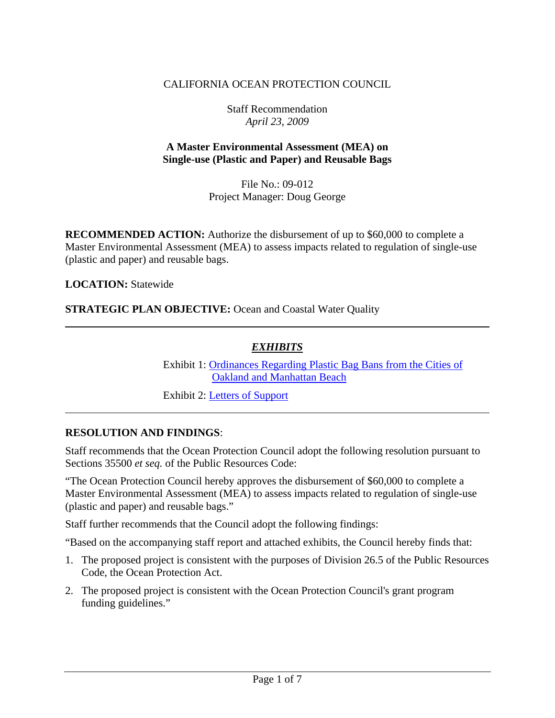## CALIFORNIA OCEAN PROTECTION COUNCIL

Staff Recommendation *April 23, 2009* 

#### **A Master Environmental Assessment (MEA) on Single-use (Plastic and Paper) and Reusable Bags**

File No.: 09-012 Project Manager: Doug George

**RECOMMENDED ACTION:** Authorize the disbursement of up to \$60,000 to complete a Master Environmental Assessment (MEA) to assess impacts related to regulation of single-use (plastic and paper) and reusable bags.

**LOCATION:** Statewide

**STRATEGIC PLAN OBJECTIVE:** Ocean and Coastal Water Quality

#### *EXHIBITS*

 Exhibit 1: Ordinances Regarding Plastic Bag Bans from the Cities of Oakland and Manhattan Beach

Exhibit 2: Letters of Support

#### **RESOLUTION AND FINDINGS**:

Staff recommends that the Ocean Protection Council adopt the following resolution pursuant to Sections 35500 *et seq.* of the Public Resources Code:

"The Ocean Protection Council hereby approves the disbursement of \$60,000 to complete a Master Environmental Assessment (MEA) to assess impacts related to regulation of single-use (plastic and paper) and reusable bags."

Staff further recommends that the Council adopt the following findings:

"Based on the accompanying staff report and attached exhibits, the Council hereby finds that:

- 1. The proposed project is consistent with the purposes of Division 26.5 of the Public Resources Code, the Ocean Protection Act.
- 2. The proposed project is consistent with the Ocean Protection Council's grant program funding guidelines."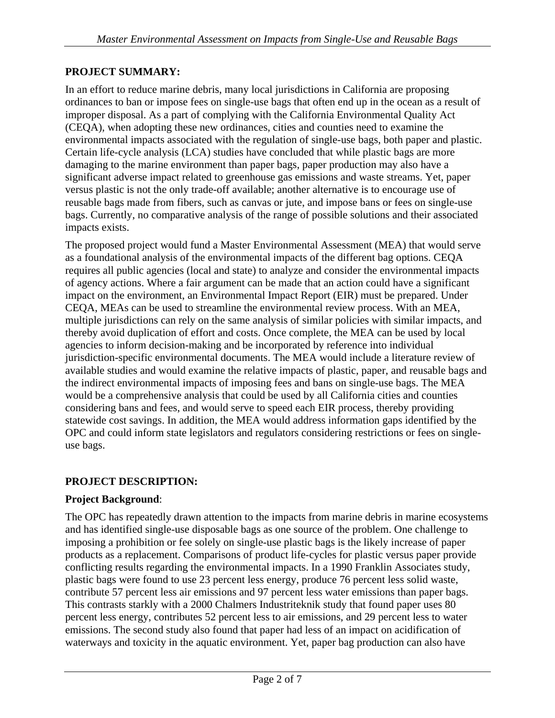## **PROJECT SUMMARY:**

In an effort to reduce marine debris, many local jurisdictions in California are proposing ordinances to ban or impose fees on single-use bags that often end up in the ocean as a result of improper disposal. As a part of complying with the California Environmental Quality Act (CEQA), when adopting these new ordinances, cities and counties need to examine the environmental impacts associated with the regulation of single-use bags, both paper and plastic. Certain life-cycle analysis (LCA) studies have concluded that while plastic bags are more damaging to the marine environment than paper bags, paper production may also have a significant adverse impact related to greenhouse gas emissions and waste streams. Yet, paper versus plastic is not the only trade-off available; another alternative is to encourage use of reusable bags made from fibers, such as canvas or jute, and impose bans or fees on single-use bags. Currently, no comparative analysis of the range of possible solutions and their associated impacts exists.

The proposed project would fund a Master Environmental Assessment (MEA) that would serve as a foundational analysis of the environmental impacts of the different bag options. CEQA requires all public agencies (local and state) to analyze and consider the environmental impacts of agency actions. Where a fair argument can be made that an action could have a significant impact on the environment, an Environmental Impact Report (EIR) must be prepared. Under CEQA, MEAs can be used to streamline the environmental review process. With an MEA, multiple jurisdictions can rely on the same analysis of similar policies with similar impacts, and thereby avoid duplication of effort and costs. Once complete, the MEA can be used by local agencies to inform decision-making and be incorporated by reference into individual jurisdiction-specific environmental documents. The MEA would include a literature review of available studies and would examine the relative impacts of plastic, paper, and reusable bags and the indirect environmental impacts of imposing fees and bans on single-use bags. The MEA would be a comprehensive analysis that could be used by all California cities and counties considering bans and fees, and would serve to speed each EIR process, thereby providing statewide cost savings. In addition, the MEA would address information gaps identified by the OPC and could inform state legislators and regulators considering restrictions or fees on singleuse bags.

## **PROJECT DESCRIPTION:**

#### **Project Background**:

The OPC has repeatedly drawn attention to the impacts from marine debris in marine ecosystems and has identified single-use disposable bags as one source of the problem. One challenge to imposing a prohibition or fee solely on single-use plastic bags is the likely increase of paper products as a replacement. Comparisons of product life-cycles for plastic versus paper provide conflicting results regarding the environmental impacts. In a 1990 Franklin Associates study, plastic bags were found to use 23 percent less energy, produce 76 percent less solid waste, contribute 57 percent less air emissions and 97 percent less water emissions than paper bags. This contrasts starkly with a 2000 Chalmers Industriteknik study that found paper uses 80 percent less energy, contributes 52 percent less to air emissions, and 29 percent less to water emissions. The second study also found that paper had less of an impact on acidification of waterways and toxicity in the aquatic environment. Yet, paper bag production can also have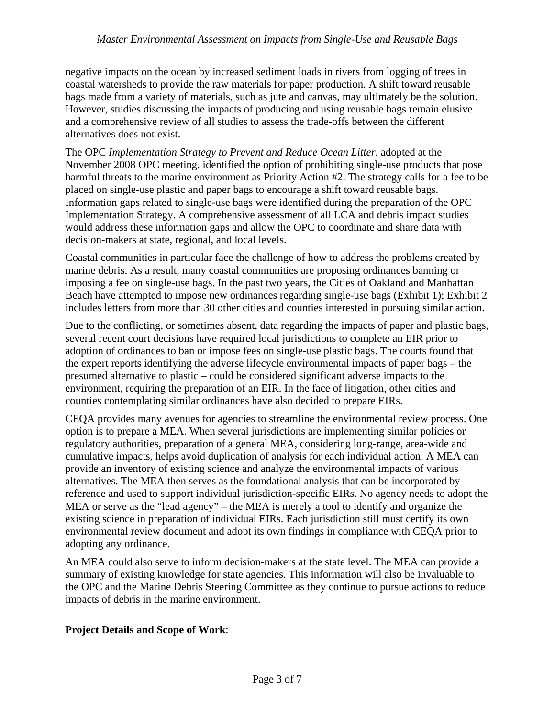negative impacts on the ocean by increased sediment loads in rivers from logging of trees in coastal watersheds to provide the raw materials for paper production. A shift toward reusable bags made from a variety of materials, such as jute and canvas, may ultimately be the solution. However, studies discussing the impacts of producing and using reusable bags remain elusive and a comprehensive review of all studies to assess the trade-offs between the different alternatives does not exist.

The OPC *Implementation Strategy to Prevent and Reduce Ocean Litter*, adopted at the November 2008 OPC meeting, identified the option of prohibiting single-use products that pose harmful threats to the marine environment as Priority Action #2. The strategy calls for a fee to be placed on single-use plastic and paper bags to encourage a shift toward reusable bags. Information gaps related to single-use bags were identified during the preparation of the OPC Implementation Strategy. A comprehensive assessment of all LCA and debris impact studies would address these information gaps and allow the OPC to coordinate and share data with decision-makers at state, regional, and local levels.

Coastal communities in particular face the challenge of how to address the problems created by marine debris. As a result, many coastal communities are proposing ordinances banning or imposing a fee on single-use bags. In the past two years, the Cities of Oakland and Manhattan Beach have attempted to impose new ordinances regarding single-use bags (Exhibit 1); Exhibit 2 includes letters from more than 30 other cities and counties interested in pursuing similar action.

Due to the conflicting, or sometimes absent, data regarding the impacts of paper and plastic bags, several recent court decisions have required local jurisdictions to complete an EIR prior to adoption of ordinances to ban or impose fees on single-use plastic bags. The courts found that the expert reports identifying the adverse lifecycle environmental impacts of paper bags – the presumed alternative to plastic – could be considered significant adverse impacts to the environment, requiring the preparation of an EIR. In the face of litigation, other cities and counties contemplating similar ordinances have also decided to prepare EIRs.

CEQA provides many avenues for agencies to streamline the environmental review process. One option is to prepare a MEA. When several jurisdictions are implementing similar policies or regulatory authorities, preparation of a general MEA, considering long-range, area-wide and cumulative impacts, helps avoid duplication of analysis for each individual action. A MEA can provide an inventory of existing science and analyze the environmental impacts of various alternatives. The MEA then serves as the foundational analysis that can be incorporated by reference and used to support individual jurisdiction-specific EIRs. No agency needs to adopt the MEA or serve as the "lead agency" – the MEA is merely a tool to identify and organize the existing science in preparation of individual EIRs. Each jurisdiction still must certify its own environmental review document and adopt its own findings in compliance with CEQA prior to adopting any ordinance.

An MEA could also serve to inform decision-makers at the state level. The MEA can provide a summary of existing knowledge for state agencies. This information will also be invaluable to the OPC and the Marine Debris Steering Committee as they continue to pursue actions to reduce impacts of debris in the marine environment.

## **Project Details and Scope of Work**: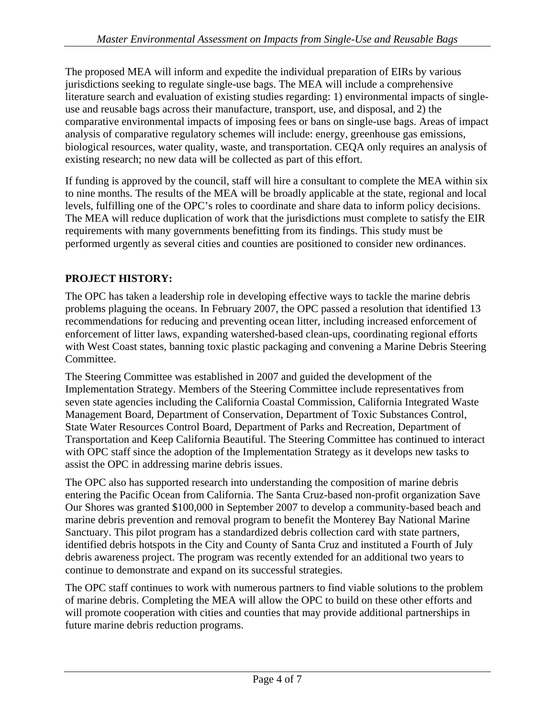The proposed MEA will inform and expedite the individual preparation of EIRs by various jurisdictions seeking to regulate single-use bags. The MEA will include a comprehensive literature search and evaluation of existing studies regarding: 1) environmental impacts of singleuse and reusable bags across their manufacture, transport, use, and disposal, and 2) the comparative environmental impacts of imposing fees or bans on single-use bags. Areas of impact analysis of comparative regulatory schemes will include: energy, greenhouse gas emissions, biological resources, water quality, waste, and transportation. CEQA only requires an analysis of existing research; no new data will be collected as part of this effort.

If funding is approved by the council, staff will hire a consultant to complete the MEA within six to nine months. The results of the MEA will be broadly applicable at the state, regional and local levels, fulfilling one of the OPC's roles to coordinate and share data to inform policy decisions. The MEA will reduce duplication of work that the jurisdictions must complete to satisfy the EIR requirements with many governments benefitting from its findings. This study must be performed urgently as several cities and counties are positioned to consider new ordinances.

# **PROJECT HISTORY:**

The OPC has taken a leadership role in developing effective ways to tackle the marine debris problems plaguing the oceans. In February 2007, the OPC passed a resolution that identified 13 recommendations for reducing and preventing ocean litter, including increased enforcement of enforcement of litter laws, expanding watershed-based clean-ups, coordinating regional efforts with West Coast states, banning toxic plastic packaging and convening a Marine Debris Steering Committee.

The Steering Committee was established in 2007 and guided the development of the Implementation Strategy. Members of the Steering Committee include representatives from seven state agencies including the California Coastal Commission, California Integrated Waste Management Board, Department of Conservation, Department of Toxic Substances Control, State Water Resources Control Board, Department of Parks and Recreation, Department of Transportation and Keep California Beautiful. The Steering Committee has continued to interact with OPC staff since the adoption of the Implementation Strategy as it develops new tasks to assist the OPC in addressing marine debris issues.

The OPC also has supported research into understanding the composition of marine debris entering the Pacific Ocean from California. The Santa Cruz-based non-profit organization Save Our Shores was granted \$100,000 in September 2007 to develop a community-based beach and marine debris prevention and removal program to benefit the Monterey Bay National Marine Sanctuary. This pilot program has a standardized debris collection card with state partners, identified debris hotspots in the City and County of Santa Cruz and instituted a Fourth of July debris awareness project. The program was recently extended for an additional two years to continue to demonstrate and expand on its successful strategies.

The OPC staff continues to work with numerous partners to find viable solutions to the problem of marine debris. Completing the MEA will allow the OPC to build on these other efforts and will promote cooperation with cities and counties that may provide additional partnerships in future marine debris reduction programs.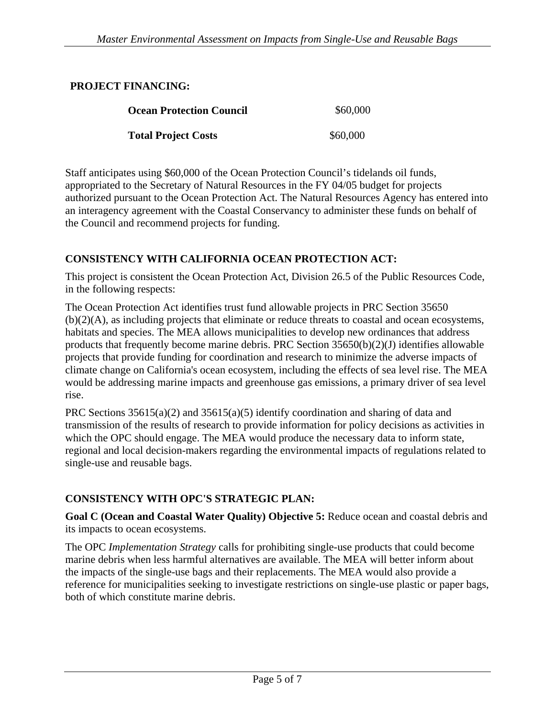#### **PROJECT FINANCING:**

| <b>Ocean Protection Council</b> | \$60,000 |
|---------------------------------|----------|
| <b>Total Project Costs</b>      | \$60,000 |

Staff anticipates using \$60,000 of the Ocean Protection Council's tidelands oil funds, appropriated to the Secretary of Natural Resources in the FY 04/05 budget for projects authorized pursuant to the Ocean Protection Act. The Natural Resources Agency has entered into an interagency agreement with the Coastal Conservancy to administer these funds on behalf of the Council and recommend projects for funding.

## **CONSISTENCY WITH CALIFORNIA OCEAN PROTECTION ACT:**

This project is consistent the Ocean Protection Act, Division 26.5 of the Public Resources Code, in the following respects:

The Ocean Protection Act identifies trust fund allowable projects in PRC Section 35650 (b)(2)(A), as including projects that eliminate or reduce threats to coastal and ocean ecosystems, habitats and species. The MEA allows municipalities to develop new ordinances that address products that frequently become marine debris. PRC Section  $35650(b)(2)(J)$  identifies allowable projects that provide funding for coordination and research to minimize the adverse impacts of climate change on California's ocean ecosystem, including the effects of sea level rise. The MEA would be addressing marine impacts and greenhouse gas emissions, a primary driver of sea level rise.

PRC Sections  $35615(a)(2)$  and  $35615(a)(5)$  identify coordination and sharing of data and transmission of the results of research to provide information for policy decisions as activities in which the OPC should engage. The MEA would produce the necessary data to inform state, regional and local decision-makers regarding the environmental impacts of regulations related to single-use and reusable bags.

## **CONSISTENCY WITH OPC'S STRATEGIC PLAN:**

**Goal C (Ocean and Coastal Water Quality) Objective 5:** Reduce ocean and coastal debris and its impacts to ocean ecosystems.

The OPC *Implementation Strategy* calls for prohibiting single-use products that could become marine debris when less harmful alternatives are available. The MEA will better inform about the impacts of the single-use bags and their replacements. The MEA would also provide a reference for municipalities seeking to investigate restrictions on single-use plastic or paper bags, both of which constitute marine debris.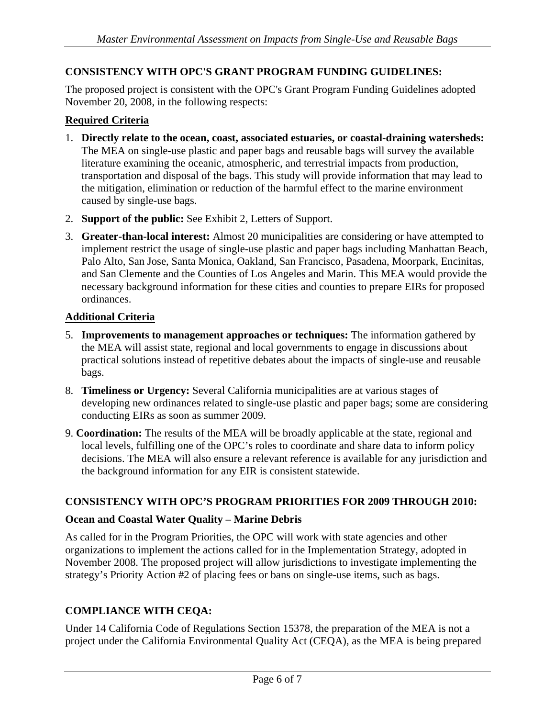### **CONSISTENCY WITH OPC'S GRANT PROGRAM FUNDING GUIDELINES:**

The proposed project is consistent with the OPC's Grant Program Funding Guidelines adopted November 20, 2008, in the following respects:

#### **Required Criteria**

- 1. **Directly relate to the ocean, coast, associated estuaries, or coastal-draining watersheds:**  The MEA on single-use plastic and paper bags and reusable bags will survey the available literature examining the oceanic, atmospheric, and terrestrial impacts from production, transportation and disposal of the bags. This study will provide information that may lead to the mitigation, elimination or reduction of the harmful effect to the marine environment caused by single-use bags.
- 2. **Support of the public:** See Exhibit 2, Letters of Support.
- 3. **Greater-than-local interest:** Almost 20 municipalities are considering or have attempted to implement restrict the usage of single-use plastic and paper bags including Manhattan Beach, Palo Alto, San Jose, Santa Monica, Oakland, San Francisco, Pasadena, Moorpark, Encinitas, and San Clemente and the Counties of Los Angeles and Marin. This MEA would provide the necessary background information for these cities and counties to prepare EIRs for proposed ordinances.

#### **Additional Criteria**

- 5. **Improvements to management approaches or techniques:** The information gathered by the MEA will assist state, regional and local governments to engage in discussions about practical solutions instead of repetitive debates about the impacts of single-use and reusable bags.
- 8. **Timeliness or Urgency:** Several California municipalities are at various stages of developing new ordinances related to single-use plastic and paper bags; some are considering conducting EIRs as soon as summer 2009.
- 9. **Coordination:** The results of the MEA will be broadly applicable at the state, regional and local levels, fulfilling one of the OPC's roles to coordinate and share data to inform policy decisions. The MEA will also ensure a relevant reference is available for any jurisdiction and the background information for any EIR is consistent statewide.

#### **CONSISTENCY WITH OPC'S PROGRAM PRIORITIES FOR 2009 THROUGH 2010:**

#### **Ocean and Coastal Water Quality – Marine Debris**

As called for in the Program Priorities, the OPC will work with state agencies and other organizations to implement the actions called for in the Implementation Strategy, adopted in November 2008. The proposed project will allow jurisdictions to investigate implementing the strategy's Priority Action #2 of placing fees or bans on single-use items, such as bags.

#### **COMPLIANCE WITH CEQA:**

Under 14 California Code of Regulations Section 15378, the preparation of the MEA is not a project under the California Environmental Quality Act (CEQA), as the MEA is being prepared